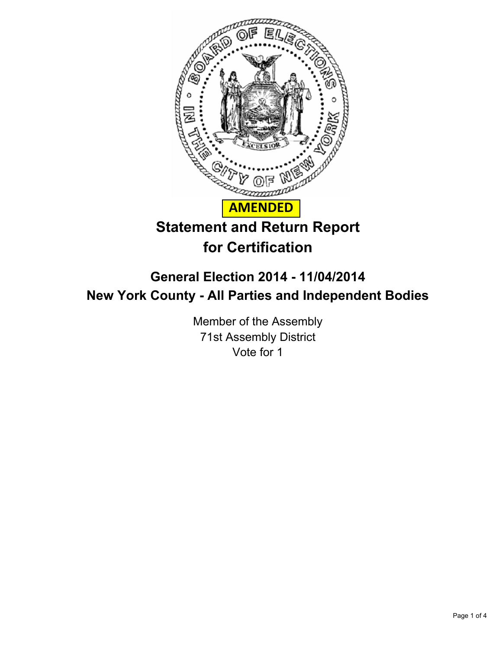

## **General Election 2014 - 11/04/2014 New York County - All Parties and Independent Bodies**

Member of the Assembly 71st Assembly District Vote for 1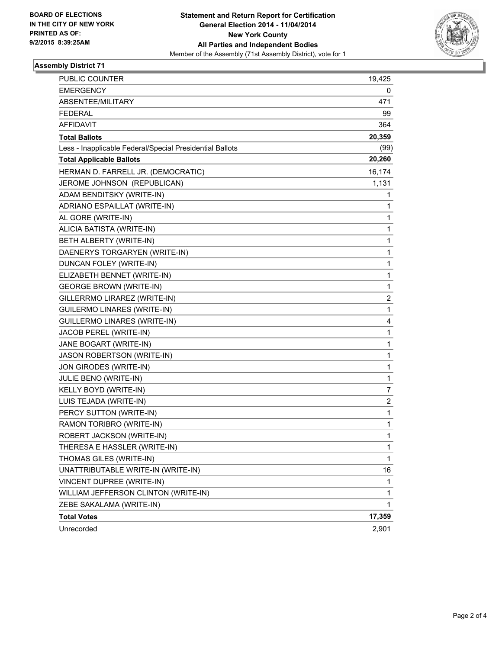

## **Assembly District 71**

| PUBLIC COUNTER                                           | 19,425       |
|----------------------------------------------------------|--------------|
| <b>EMERGENCY</b>                                         | 0            |
| ABSENTEE/MILITARY                                        | 471          |
| <b>FEDERAL</b>                                           | 99           |
| <b>AFFIDAVIT</b>                                         | 364          |
| <b>Total Ballots</b>                                     | 20,359       |
| Less - Inapplicable Federal/Special Presidential Ballots | (99)         |
| <b>Total Applicable Ballots</b>                          | 20,260       |
| HERMAN D. FARRELL JR. (DEMOCRATIC)                       | 16,174       |
| JEROME JOHNSON (REPUBLICAN)                              | 1,131        |
| ADAM BENDITSKY (WRITE-IN)                                | 1            |
| ADRIANO ESPAILLAT (WRITE-IN)                             | 1            |
| AL GORE (WRITE-IN)                                       | 1            |
| ALICIA BATISTA (WRITE-IN)                                | 1            |
| BETH ALBERTY (WRITE-IN)                                  | 1            |
| DAENERYS TORGARYEN (WRITE-IN)                            | 1            |
| DUNCAN FOLEY (WRITE-IN)                                  | 1            |
| ELIZABETH BENNET (WRITE-IN)                              | 1            |
| <b>GEORGE BROWN (WRITE-IN)</b>                           | 1            |
| GILLERRMO LIRAREZ (WRITE-IN)                             | 2            |
| <b>GUILERMO LINARES (WRITE-IN)</b>                       | 1            |
| <b>GUILLERMO LINARES (WRITE-IN)</b>                      | 4            |
| JACOB PEREL (WRITE-IN)                                   | 1            |
| JANE BOGART (WRITE-IN)                                   | 1            |
| JASON ROBERTSON (WRITE-IN)                               | 1            |
| JON GIRODES (WRITE-IN)                                   | 1            |
| JULIE BENO (WRITE-IN)                                    | 1            |
| KELLY BOYD (WRITE-IN)                                    | 7            |
| LUIS TEJADA (WRITE-IN)                                   | 2            |
| PERCY SUTTON (WRITE-IN)                                  | 1            |
| RAMON TORIBRO (WRITE-IN)                                 | 1            |
| ROBERT JACKSON (WRITE-IN)                                | 1            |
| THERESA E HASSLER (WRITE-IN)                             | 1            |
| THOMAS GILES (WRITE-IN)                                  | $\mathbf{1}$ |
| UNATTRIBUTABLE WRITE-IN (WRITE-IN)                       | 16           |
| VINCENT DUPREE (WRITE-IN)                                | 1            |
| WILLIAM JEFFERSON CLINTON (WRITE-IN)                     | 1            |
| ZEBE SAKALAMA (WRITE-IN)                                 | 1            |
| <b>Total Votes</b>                                       | 17,359       |
| Unrecorded                                               | 2,901        |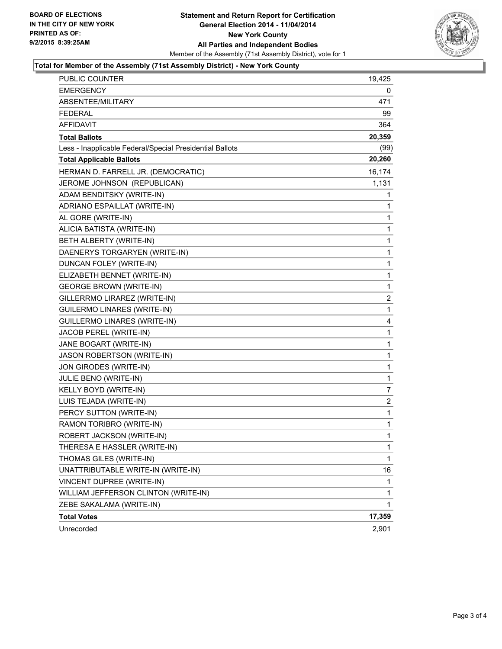

## **Total for Member of the Assembly (71st Assembly District) - New York County**

| PUBLIC COUNTER                                           | 19,425         |
|----------------------------------------------------------|----------------|
| <b>EMERGENCY</b>                                         | 0              |
| ABSENTEE/MILITARY                                        | 471            |
| <b>FEDERAL</b>                                           | 99             |
| <b>AFFIDAVIT</b>                                         | 364            |
| <b>Total Ballots</b>                                     | 20,359         |
| Less - Inapplicable Federal/Special Presidential Ballots | (99)           |
| <b>Total Applicable Ballots</b>                          | 20,260         |
| HERMAN D. FARRELL JR. (DEMOCRATIC)                       | 16,174         |
| JEROME JOHNSON (REPUBLICAN)                              | 1,131          |
| ADAM BENDITSKY (WRITE-IN)                                | 1              |
| ADRIANO ESPAILLAT (WRITE-IN)                             | 1              |
| AL GORE (WRITE-IN)                                       | 1              |
| ALICIA BATISTA (WRITE-IN)                                | 1              |
| BETH ALBERTY (WRITE-IN)                                  | 1              |
| DAENERYS TORGARYEN (WRITE-IN)                            | 1              |
| DUNCAN FOLEY (WRITE-IN)                                  | 1              |
| ELIZABETH BENNET (WRITE-IN)                              | 1              |
| <b>GEORGE BROWN (WRITE-IN)</b>                           | 1              |
| GILLERRMO LIRAREZ (WRITE-IN)                             | $\overline{2}$ |
| <b>GUILERMO LINARES (WRITE-IN)</b>                       | 1              |
| <b>GUILLERMO LINARES (WRITE-IN)</b>                      | 4              |
| JACOB PEREL (WRITE-IN)                                   | $\mathbf{1}$   |
| JANE BOGART (WRITE-IN)                                   | 1              |
| JASON ROBERTSON (WRITE-IN)                               | 1              |
| JON GIRODES (WRITE-IN)                                   | $\mathbf{1}$   |
| JULIE BENO (WRITE-IN)                                    | 1              |
| KELLY BOYD (WRITE-IN)                                    | 7              |
| LUIS TEJADA (WRITE-IN)                                   | 2              |
| PERCY SUTTON (WRITE-IN)                                  | 1              |
| RAMON TORIBRO (WRITE-IN)                                 | 1              |
| ROBERT JACKSON (WRITE-IN)                                | $\mathbf{1}$   |
| THERESA E HASSLER (WRITE-IN)                             | 1              |
| THOMAS GILES (WRITE-IN)                                  | 1              |
| UNATTRIBUTABLE WRITE-IN (WRITE-IN)                       | 16             |
| VINCENT DUPREE (WRITE-IN)                                | 1              |
| WILLIAM JEFFERSON CLINTON (WRITE-IN)                     | 1              |
| ZEBE SAKALAMA (WRITE-IN)                                 | 1              |
| <b>Total Votes</b>                                       | 17,359         |
| Unrecorded                                               | 2,901          |